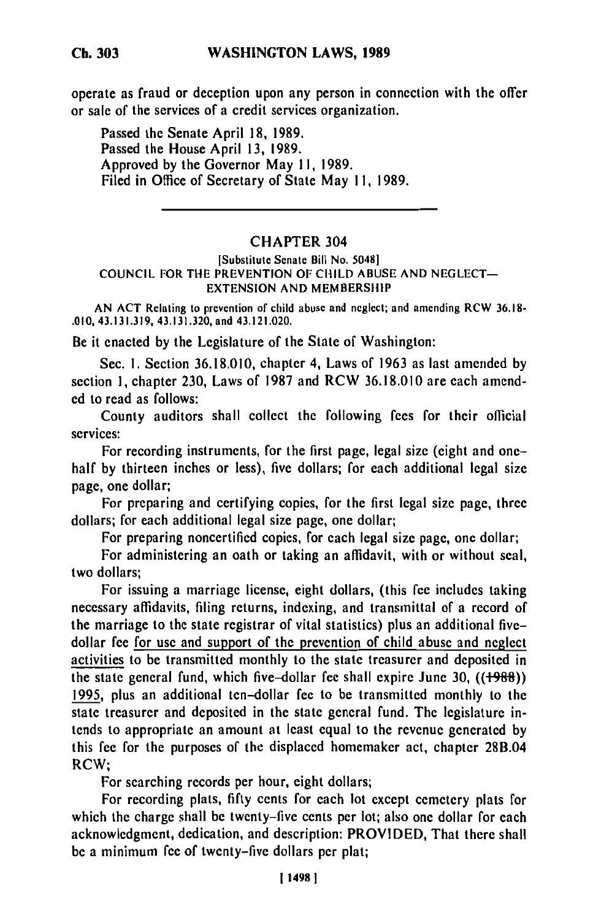**Ch. 303**

operate as fraud or deception upon any person in connection with the offer or sale of the services of a credit services organization.

Passed the Senate April **18, 1989.** Passed the House April **13, 1989.** Approved **by** the Governor May **11, 1989.** Filed in Office of Secretary of State May **11, 1989.**

## CHAPTER 304

## [Substitute Senate Bill No. 5048] **COUNCIL** FOR THE **PREVENTION** OF CHILD **ABUSE AND NEGLECT-EXTENSION AND** MEMBERSHIP

**AN ACT** Relating to prevention of child abuse and neglect; and amending RCW **36.18- .010, 43.131.319,** 43.131.320, and 43.121.020.

Be it enacted **by** the Legislature of the State of Washington:

Sec. **1.** Section **36.18.010,** chapter 4, Laws of **1963** as last amended **by** section **1,** chapter **230,** Laws of **1987** and RCW **36.18.010** are each amend**ed** to read as follows:

County auditors shall collect the following fees for their official services:

For recording instruments, for the first page, legal size (eight and onehalf by thirteen inches or less), five dollars; for each additional legal size page, one dollar;

For preparing and certifying copies, for the first legal size page, three dollars; for each additional legal size page, one dollar;

For preparing noncertified copies, for each legal size page, one dollar;

For administering an oath or taking an affidavit, with or without seal, two dollars;

For issuing a marriage license, eight dollars, (this fee includes taking necessary affidavits, filing returns, indexing, and transmittal of a record of the marriage to the state registrar of vital statistics) plus an additional fivedollar fee for use and support of the prevention of child abuse and neglect activities to be transmitted monthly to the state treasurer and deposited in the state general fund, which five-dollar fee shall expire June 30, **((+98)) 1995,** plus an additional ten-dollar fee to be transmitted monthly to the state treasurer and deposited in the state general fund. The legislature intends to appropriate an amount at least equal to the revenue generated by this fee for the purposes of the displaced homemaker act, chapter 28B.04 RCW;

For searching records per hour, eight dollars;

For recording plats, **fifty** cents for each lot except cemetery plats for which the charge shall be twenty-five cents per lot; also one dollar for each acknowledgment, dedication, and description: PROVIDED, That there shall **be** a minimum fee of twenty-five dollars per plat;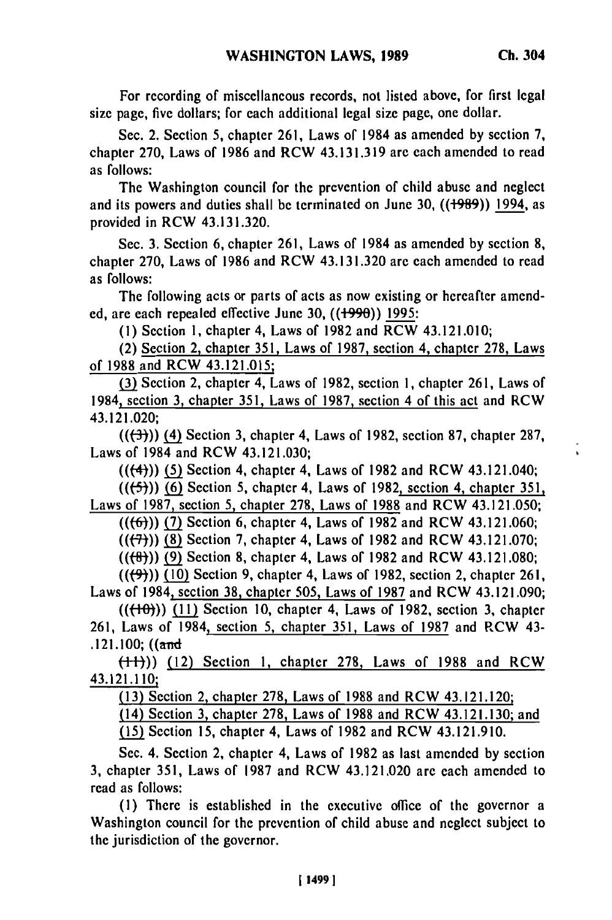$\overline{\phantom{a}}$ 

For recording of miscellaneous records, not listed above, for first legal size page, five dollars; for each additional legal size page, one dollar.

Sec. 2. Section **5,** chapter **261,** Laws of 1984 as amended **by** section **7,** chapter **270,** Laws of **1986** and RCW **43.131.319 are** each amended to read as follows:

The Washington council for the prevention of child abuse and neglect and its powers and duties shall be terminated on June **30, ((+989))** 1994, as provided in RCW 43.131.320.

Sec. **3.** Section **6,** chapter **261,** Laws of 1984 as amended **by** section **8,** chapter **270,** Laws of **1986** and RCW 43.131.320 are each amended to read as follows:

The following acts or parts of acts as now existing or hereafter amend**ed,** are each repealed effective June **30, ((+990)) 1995:**

**(1)** Section **1,** chapter 4, Laws of **1982** and RCW 43.121.010;

(2) Section 2, chapter **351,** Laws of **1987,** section 4, chapter **278,** Laws of **1988** and RCW 43.121.015;

**(3)** Section 2, chapter 4, Laws of **1982,** section **1,** chapter **261,** Laws of 1984, section **3,** chapter **351,** Laws of **1987,** section 4 of this act and RCW 43.121.020;

**(((-3-)))** (4) Section **3,** chapter 4, Laws of **1982,** section **87,** chapter **287,** Laws of 1984 and RCW 43.121.030;

**(((4))) (5)** Section 4, chapter 4, Laws of **1982** and RCW 43.121.040;

**(((-5))) (6)** Section **5,** chapter 4, Laws of **1982,** section 4, chapter **351,**

Laws of **1987,** section 5, chapter **278,** Laws of **1988** and RCW 43.121.050;

**(((6)) (7)** Section **6,** chapter 4, Laws of **1982** and RCW 43.121.060;

(((7))) **(8)** Section **7,** chapter 4, Laws of **1982** and RCW 43.121.070;

**(((ft-))** (Section **8,** chapter 4, Laws of **1982** and RCW 43.121.080;

((1(9))) **(10)** Section **9,** chapter 4, Laws of **1982,** section 2, chapter **261,** Laws of 1984, section **38,** chapter **505,** Laws of **1987** and RCW 43.121.090;

**(((-"4)) (11)** Section **10,** chapter 4, Laws of **1982,** section **3,** chapter **261,** Laws of 1984, section **5,** chapter **351,** Laws of **1987** and RCW 43- .121.100;  $((and)$ 

**(-14))** (12) Section **1,** chapter **278,** Laws of **1988** and RCW **43.121.110;**

**(13)** Section 2, chapter **278,** Laws of **1988** and RCW 43.121.120;

(14) Section **3,** chapter **278,** Laws of **1988** and RCW 43.121.130; and

**(15)** Section **15,** chapter 4, Laws of **1982** and RCW 43.121.910.

Sec. 4. Section 2, chapter 4, Laws of **1982** as last amended **by** section **3,** chapter **351,** Laws of **1987** and RCW 43.121.020 are each amended to read as follows:

**(1)** There is established in the executive office of the governor a Washington council for the prevention of child abuse and neglect subject to the jurisdiction of the governor.